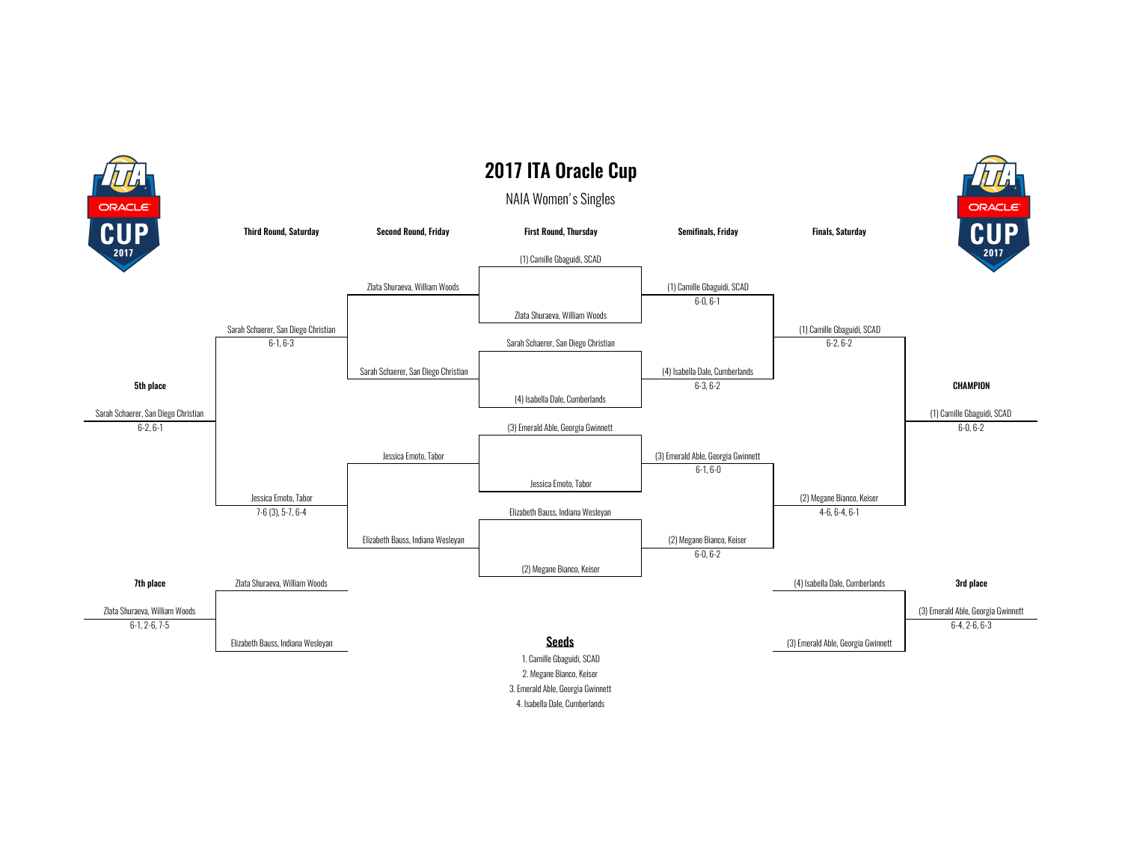